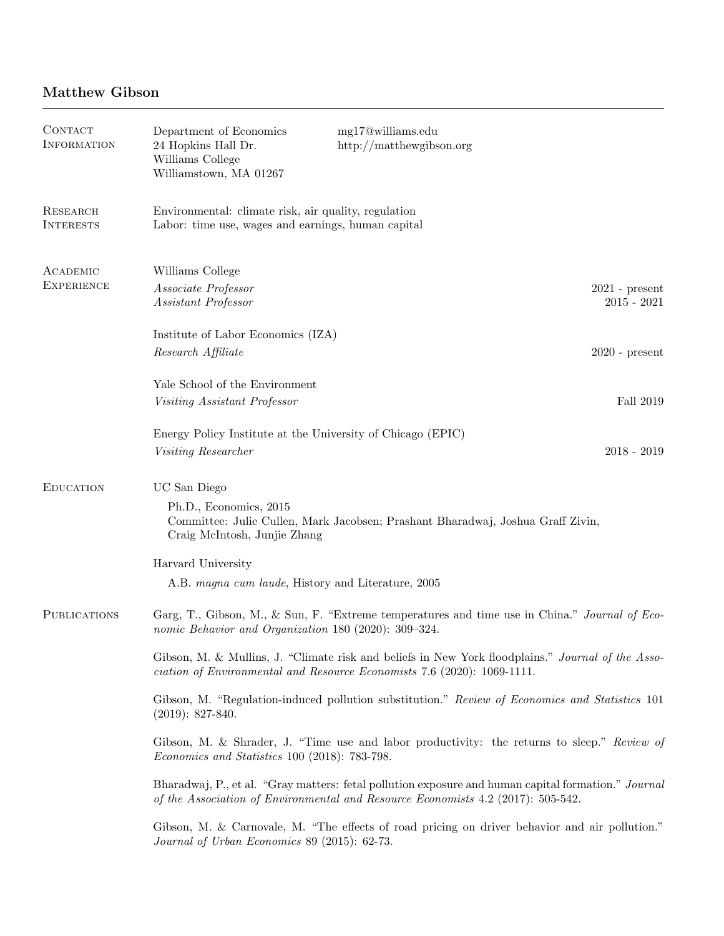## Matthew Gibson

| CONTACT<br><b>INFORMATION</b> | Department of Economics<br>24 Hopkins Hall Dr.<br>Williams College<br>Williamstown, MA 01267                                                                                              | mg17@williams.edu<br>http://matthewgibson.org |                                   |  |  |  |
|-------------------------------|-------------------------------------------------------------------------------------------------------------------------------------------------------------------------------------------|-----------------------------------------------|-----------------------------------|--|--|--|
| RESEARCH<br><b>INTERESTS</b>  | Environmental: climate risk, air quality, regulation<br>Labor: time use, wages and earnings, human capital                                                                                |                                               |                                   |  |  |  |
| ACADEMIC                      | Williams College                                                                                                                                                                          |                                               |                                   |  |  |  |
| <b>EXPERIENCE</b>             | Associate Professor<br>Assistant Professor                                                                                                                                                |                                               | $2021$ - present<br>$2015 - 2021$ |  |  |  |
|                               | Institute of Labor Economics (IZA)                                                                                                                                                        |                                               |                                   |  |  |  |
|                               | Research Affiliate                                                                                                                                                                        |                                               | $2020$ - present                  |  |  |  |
|                               | Yale School of the Environment                                                                                                                                                            |                                               |                                   |  |  |  |
|                               | <i>Visiting Assistant Professor</i>                                                                                                                                                       |                                               | Fall 2019                         |  |  |  |
|                               | Energy Policy Institute at the University of Chicago (EPIC)<br>Visiting Researcher                                                                                                        |                                               | $2018 - 2019$                     |  |  |  |
| <b>EDUCATION</b>              | UC San Diego                                                                                                                                                                              |                                               |                                   |  |  |  |
|                               | Ph.D., Economics, 2015<br>Committee: Julie Cullen, Mark Jacobsen; Prashant Bharadwaj, Joshua Graff Zivin,<br>Craig McIntosh, Junjie Zhang                                                 |                                               |                                   |  |  |  |
|                               | Harvard University                                                                                                                                                                        |                                               |                                   |  |  |  |
|                               | A.B. magna cum laude, History and Literature, 2005                                                                                                                                        |                                               |                                   |  |  |  |
| <b>PUBLICATIONS</b>           | Garg, T., Gibson, M., & Sun, F. "Extreme temperatures and time use in China." Journal of Eco-<br>nomic Behavior and Organization 180 (2020): 309-324.                                     |                                               |                                   |  |  |  |
|                               | Gibson, M. & Mullins, J. "Climate risk and beliefs in New York floodplains." Journal of the Asso-<br>ciation of Environmental and Resource Economists 7.6 (2020): 1069-1111.              |                                               |                                   |  |  |  |
|                               | Gibson, M. "Regulation-induced pollution substitution." Review of Economics and Statistics 101<br>$(2019): 827-840.$                                                                      |                                               |                                   |  |  |  |
|                               | Gibson, M. & Shrader, J. "Time use and labor productivity: the returns to sleep." Review of<br>Economics and Statistics 100 (2018): 783-798.                                              |                                               |                                   |  |  |  |
|                               | Bharadwaj, P., et al. "Gray matters: fetal pollution exposure and human capital formation." Journal<br>of the Association of Environmental and Resource Economists $4.2$ (2017): 505-542. |                                               |                                   |  |  |  |
|                               | Gibson, M. & Carnovale, M. "The effects of road pricing on driver behavior and air pollution."<br>Journal of Urban Economics 89 (2015): 62-73.                                            |                                               |                                   |  |  |  |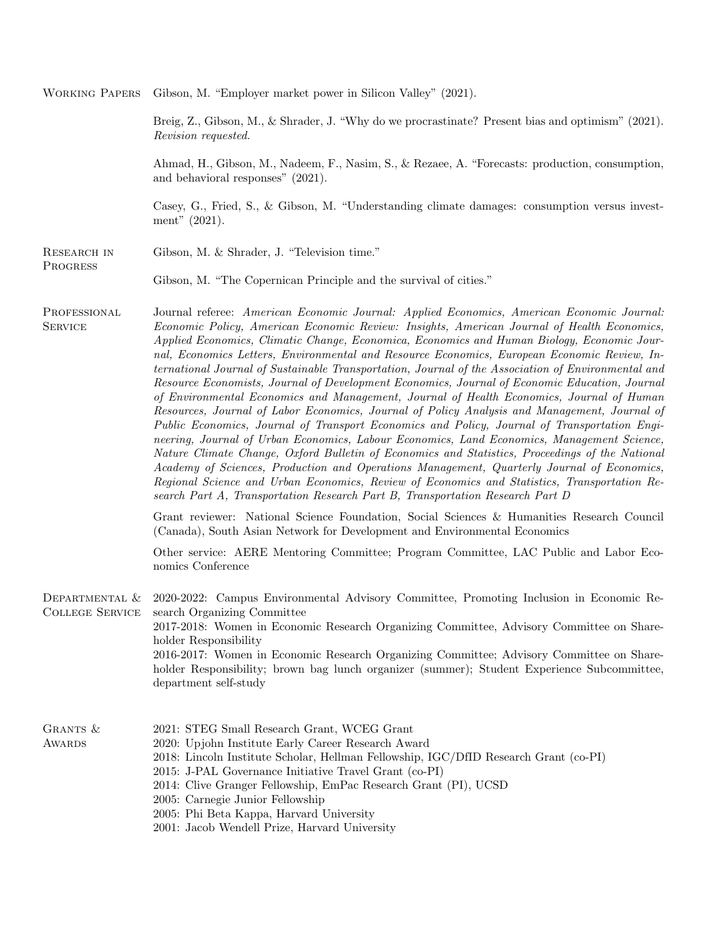Working Papers Gibson, M. "Employer market power in Silicon Valley" (2021).

Breig, Z., Gibson, M., & Shrader, J. "Why do we procrastinate? Present bias and optimism" (2021). Revision requested.

Ahmad, H., Gibson, M., Nadeem, F., Nasim, S., & Rezaee, A. "Forecasts: production, consumption, and behavioral responses" (2021).

Casey, G., Fried, S., & Gibson, M. "Understanding climate damages: consumption versus investment" (2021).

| RESEARCH IN |  |  | Gibson, M. & Shrader, J. "Television time." |
|-------------|--|--|---------------------------------------------|
| PROGRESS    |  |  |                                             |

Gibson, M. "The Copernican Principle and the survival of cities."

PROFESSIONAL **SERVICE** Journal referee: American Economic Journal: Applied Economics, American Economic Journal: Economic Policy, American Economic Review: Insights, American Journal of Health Economics, Applied Economics, Climatic Change, Economica, Economics and Human Biology, Economic Journal, Economics Letters, Environmental and Resource Economics, European Economic Review, International Journal of Sustainable Transportation, Journal of the Association of Environmental and Resource Economists, Journal of Development Economics, Journal of Economic Education, Journal of Environmental Economics and Management, Journal of Health Economics, Journal of Human Resources, Journal of Labor Economics, Journal of Policy Analysis and Management, Journal of Public Economics, Journal of Transport Economics and Policy, Journal of Transportation Engineering, Journal of Urban Economics, Labour Economics, Land Economics, Management Science, Nature Climate Change, Oxford Bulletin of Economics and Statistics, Proceedings of the National Academy of Sciences, Production and Operations Management, Quarterly Journal of Economics, Regional Science and Urban Economics, Review of Economics and Statistics, Transportation Research Part A, Transportation Research Part B, Transportation Research Part D

> Grant reviewer: National Science Foundation, Social Sciences & Humanities Research Council (Canada), South Asian Network for Development and Environmental Economics

> Other service: AERE Mentoring Committee; Program Committee, LAC Public and Labor Economics Conference

Departmental & College Service 2020-2022: Campus Environmental Advisory Committee, Promoting Inclusion in Economic Research Organizing Committee 2017-2018: Women in Economic Research Organizing Committee, Advisory Committee on Shareholder Responsibility 2016-2017: Women in Economic Research Organizing Committee; Advisory Committee on Shareholder Responsibility; brown bag lunch organizer (summer); Student Experience Subcommittee, department self-study

|          | acparentene son seaav                                                                |  |
|----------|--------------------------------------------------------------------------------------|--|
|          |                                                                                      |  |
| GRANTS & | 2021: STEG Small Research Grant, WCEG Grant                                          |  |
| AWARDS   | 2020: Upjohn Institute Early Career Research Award                                   |  |
|          | 2018: Lincoln Institute Scholar, Hellman Fellowship, IGC/DfID Research Grant (co-PI) |  |
|          | 2015: J-PAL Governance Initiative Travel Grant (co-PI)                               |  |
|          | 2014: Clive Granger Fellowship, EmPac Research Grant (PI), UCSD                      |  |
|          | 2005: Carnegie Junior Fellowship                                                     |  |
|          | $0.005$ , $D1$ : $D-1$ , $V-1$ , $U-1$ , $U-1$ , $U-1$ , $U-1$                       |  |

- 2005: Phi Beta Kappa, Harvard University
- 2001: Jacob Wendell Prize, Harvard University